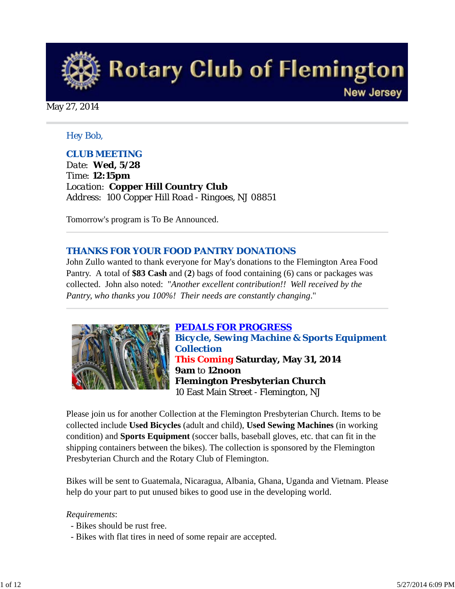

May 27, 2014

#### *Hey Bob,*

### *CLUB MEETING*

*Date: Wed, 5/28 Time: 12:15pm Location: Copper Hill Country Club Address: 100 Copper Hill Road - Ringoes, NJ 08851* 

Tomorrow's program is To Be Announced.

#### *THANKS FOR YOUR FOOD PANTRY DONATIONS*

John Zullo wanted to thank everyone for May's donations to the Flemington Area Food Pantry. A total of **\$83 Cash** and (**2**) bags of food containing (6) cans or packages was collected. John also noted: "*Another excellent contribution!! Well received by the Pantry, who thanks you 100%! Their needs are constantly changing*."



*PEDALS FOR PROGRESS Bicycle, Sewing Machine & Sports Equipment Collection This Coming* **Saturday, May 31, 2014 9am** to **12noon Flemington Presbyterian Church** 10 East Main Street - Flemington, NJ

Please join us for another Collection at the Flemington Presbyterian Church. Items to be collected include **Used Bicycles** (adult and child), **Used Sewing Machines** (in working condition) and **Sports Equipment** (soccer balls, baseball gloves, etc. that can fit in the shipping containers between the bikes). The collection is sponsored by the Flemington Presbyterian Church and the Rotary Club of Flemington.

Bikes will be sent to Guatemala, Nicaragua, Albania, Ghana, Uganda and Vietnam. Please help do your part to put unused bikes to good use in the developing world.

#### *Requirements*:

- Bikes should be rust free.
- Bikes with flat tires in need of some repair are accepted.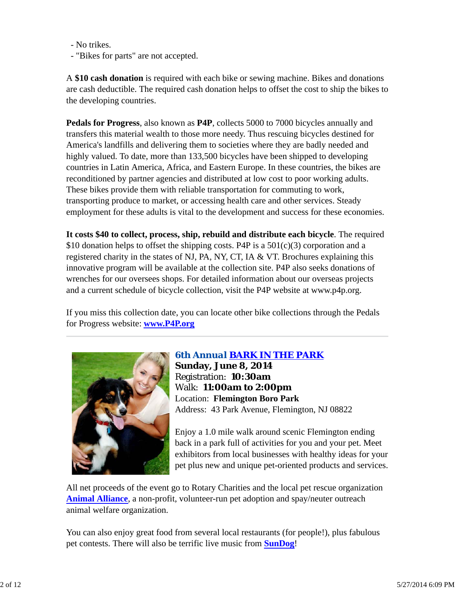- No trikes.

- "Bikes for parts" are not accepted.

A **\$10 cash donation** is required with each bike or sewing machine. Bikes and donations are cash deductible. The required cash donation helps to offset the cost to ship the bikes to the developing countries.

**Pedals for Progress**, also known as **P4P**, collects 5000 to 7000 bicycles annually and transfers this material wealth to those more needy. Thus rescuing bicycles destined for America's landfills and delivering them to societies where they are badly needed and highly valued. To date, more than 133,500 bicycles have been shipped to developing countries in Latin America, Africa, and Eastern Europe. In these countries, the bikes are reconditioned by partner agencies and distributed at low cost to poor working adults. These bikes provide them with reliable transportation for commuting to work, transporting produce to market, or accessing health care and other services. Steady employment for these adults is vital to the development and success for these economies.

**It costs \$40 to collect, process, ship, rebuild and distribute each bicycle**. The required \$10 donation helps to offset the shipping costs. P4P is a  $501(c)(3)$  corporation and a registered charity in the states of NJ, PA, NY, CT, IA & VT. Brochures explaining this innovative program will be available at the collection site. P4P also seeks donations of wrenches for our oversees shops. For detailed information about our overseas projects and a current schedule of bicycle collection, visit the P4P website at www.p4p.org.

If you miss this collection date, you can locate other bike collections through the Pedals for Progress website: **www.P4P.org**



### *6th Annual BARK IN THE PARK*

**Sunday, June 8, 2014** Registration: **10:30am** Walk: **11:00am to 2:00pm** Location: **Flemington Boro Park** Address: 43 Park Avenue, Flemington, NJ 08822

Enjoy a 1.0 mile walk around scenic Flemington ending back in a park full of activities for you and your pet. Meet exhibitors from local businesses with healthy ideas for your pet plus new and unique pet-oriented products and services.

All net proceeds of the event go to Rotary Charities and the local pet rescue organization **Animal Alliance**, a non-profit, volunteer-run pet adoption and spay/neuter outreach animal welfare organization.

You can also enjoy great food from several local restaurants (for people!), plus fabulous pet contests. There will also be terrific live music from **SunDog**!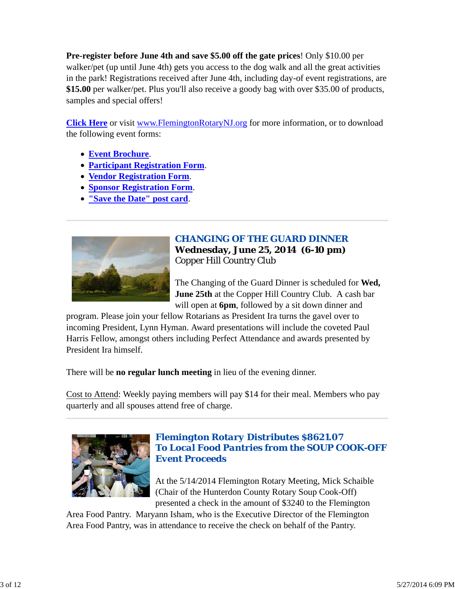**Pre-register before June 4th and save \$5.00 off the gate prices**! Only \$10.00 per walker/pet (up until June 4th) gets you access to the dog walk and all the great activities in the park! Registrations received after June 4th, including day-of event registrations, are **\$15.00** per walker/pet. Plus you'll also receive a goody bag with over \$35.00 of products, samples and special offers!

**Click Here** or visit www.FlemingtonRotaryNJ.org for more information, or to download the following event forms:

- **Event Brochure**.
- **Participant Registration Form**.
- **Vendor Registration Form**.
- **Sponsor Registration Form**.
- **"Save the Date" post card**.



### *CHANGING OF THE GUARD DINNER* **Wednesday, June 25, 2014 (6-10 pm)** Copper Hill Country Club

The Changing of the Guard Dinner is scheduled for **Wed, June 25th** at the Copper Hill Country Club. A cash bar will open at **6pm**, followed by a sit down dinner and

program. Please join your fellow Rotarians as President Ira turns the gavel over to incoming President, Lynn Hyman. Award presentations will include the coveted Paul Harris Fellow, amongst others including Perfect Attendance and awards presented by President Ira himself.

There will be **no regular lunch meeting** in lieu of the evening dinner.

Cost to Attend: Weekly paying members will pay \$14 for their meal. Members who pay quarterly and all spouses attend free of charge.



### *Flemington Rotary Distributes \$8621.07 To Local Food Pantries from the SOUP COOK-OFF Event Proceeds*

At the 5/14/2014 Flemington Rotary Meeting, Mick Schaible (Chair of the Hunterdon County Rotary Soup Cook-Off) presented a check in the amount of \$3240 to the Flemington

Area Food Pantry. Maryann Isham, who is the Executive Director of the Flemington Area Food Pantry, was in attendance to receive the check on behalf of the Pantry.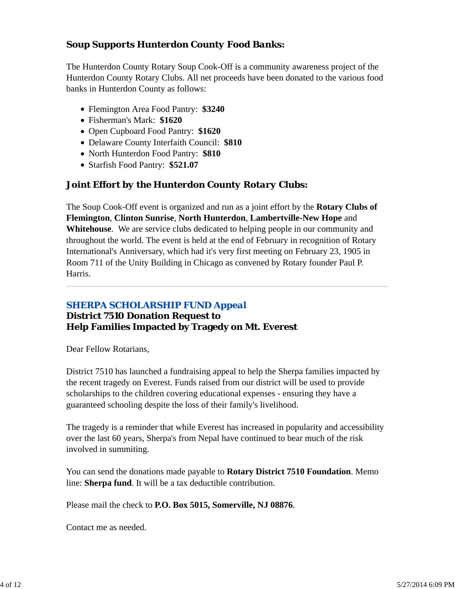## *Soup Supports Hunterdon County Food Banks:*

The Hunterdon County Rotary Soup Cook-Off is a community awareness project of the Hunterdon County Rotary Clubs. All net proceeds have been donated to the various food banks in Hunterdon County as follows:

- Flemington Area Food Pantry: **\$3240**
- Fisherman's Mark: **\$1620**
- Open Cupboard Food Pantry: **\$1620**
- Delaware County Interfaith Council: **\$810**
- North Hunterdon Food Pantry: **\$810**
- Starfish Food Pantry: **\$521.07**

### *Joint Effort by the Hunterdon County Rotary Clubs:*

The Soup Cook-Off event is organized and run as a joint effort by the **Rotary Clubs of Flemington**, **Clinton Sunrise**, **North Hunterdon**, **Lambertville-New Hope** and **Whitehouse**. We are service clubs dedicated to helping people in our community and throughout the world. The event is held at the end of February in recognition of Rotary International's Anniversary, which had it's very first meeting on February 23, 1905 in Room 711 of the Unity Building in Chicago as convened by Rotary founder Paul P. Harris.

# *SHERPA SCHOLARSHIP FUND Appeal*

# **District 7510 Donation Request to Help Families Impacted by Tragedy on Mt. Everest**

Dear Fellow Rotarians,

District 7510 has launched a fundraising appeal to help the Sherpa families impacted by the recent tragedy on Everest. Funds raised from our district will be used to provide scholarships to the children covering educational expenses - ensuring they have a guaranteed schooling despite the loss of their family's livelihood.

The tragedy is a reminder that while Everest has increased in popularity and accessibility over the last 60 years, Sherpa's from Nepal have continued to bear much of the risk involved in summiting.

You can send the donations made payable to **Rotary District 7510 Foundation**. Memo line: **Sherpa fund**. It will be a tax deductible contribution.

Please mail the check to **P.O. Box 5015, Somerville, NJ 08876**.

Contact me as needed.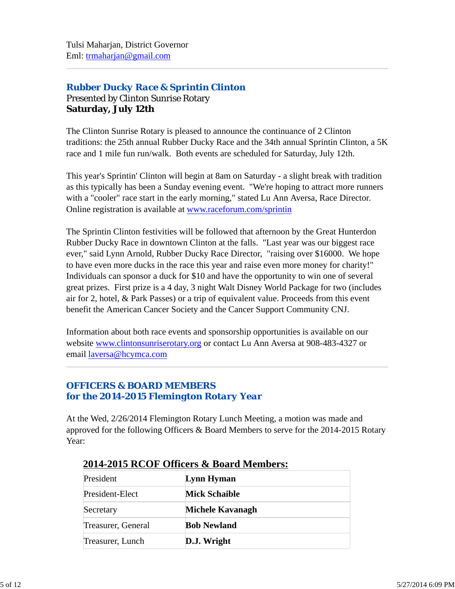# *Rubber Ducky Race & Sprintin Clinton* Presented by Clinton Sunrise Rotary **Saturday, July 12th**

The Clinton Sunrise Rotary is pleased to announce the continuance of 2 Clinton traditions: the 25th annual Rubber Ducky Race and the 34th annual Sprintin Clinton, a 5K race and 1 mile fun run/walk. Both events are scheduled for Saturday, July 12th.

This year's Sprintin' Clinton will begin at 8am on Saturday - a slight break with tradition as this typically has been a Sunday evening event. "We're hoping to attract more runners with a "cooler" race start in the early morning," stated Lu Ann Aversa, Race Director. Online registration is available at www.raceforum.com/sprintin

The Sprintin Clinton festivities will be followed that afternoon by the Great Hunterdon Rubber Ducky Race in downtown Clinton at the falls. "Last year was our biggest race ever," said Lynn Arnold, Rubber Ducky Race Director, "raising over \$16000. We hope to have even more ducks in the race this year and raise even more money for charity!" Individuals can sponsor a duck for \$10 and have the opportunity to win one of several great prizes. First prize is a 4 day, 3 night Walt Disney World Package for two (includes air for 2, hotel, & Park Passes) or a trip of equivalent value. Proceeds from this event benefit the American Cancer Society and the Cancer Support Community CNJ.

Information about both race events and sponsorship opportunities is available on our website www.clintonsunriserotary.org or contact Lu Ann Aversa at 908-483-4327 or email laversa@hcymca.com

## *OFFICERS & BOARD MEMBERS for the 2014-2015 Flemington Rotary Year*

At the Wed, 2/26/2014 Flemington Rotary Lunch Meeting, a motion was made and approved for the following Officers & Board Members to serve for the 2014-2015 Rotary Year:

| President          | Lynn Hyman           |
|--------------------|----------------------|
| President-Elect    | <b>Mick Schaible</b> |
| Secretary          | Michele Kavanagh     |
| Treasurer, General | <b>Bob Newland</b>   |
| Treasurer, Lunch   | D.J. Wright          |

## **2014-2015 RCOF Officers & Board Members:**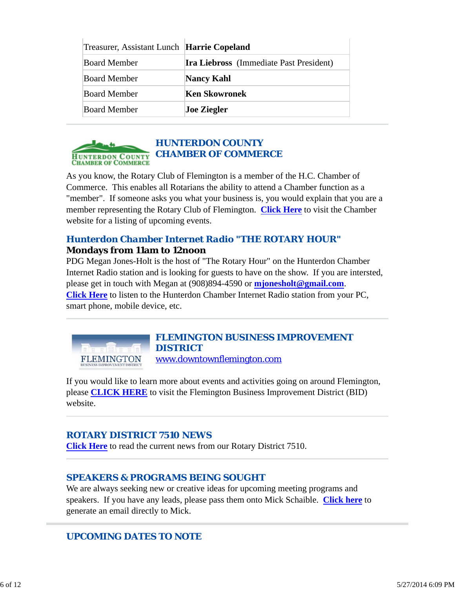| Treasurer, Assistant Lunch Harrie Copeland |                                                |  |
|--------------------------------------------|------------------------------------------------|--|
| <b>Board Member</b>                        | <b>Ira Liebross</b> (Immediate Past President) |  |
| <b>Board Member</b>                        | <b>Nancy Kahl</b>                              |  |
| <b>Board Member</b>                        | <b>Ken Skowronek</b>                           |  |
| <b>Board Member</b>                        | <b>Joe Ziegler</b>                             |  |



As you know, the Rotary Club of Flemington is a member of the H.C. Chamber of Commerce. This enables all Rotarians the ability to attend a Chamber function as a "member". If someone asks you what your business is, you would explain that you are a member representing the Rotary Club of Flemington. **Click Here** to visit the Chamber website for a listing of upcoming events.

### *Hunterdon Chamber Internet Radio "THE ROTARY HOUR"* **Mondays from 11am to 12noon**

PDG Megan Jones-Holt is the host of "The Rotary Hour" on the Hunterdon Chamber Internet Radio station and is looking for guests to have on the show. If you are intersted, please get in touch with Megan at (908)894-4590 or **mjonesholt@gmail.com**. **Click Here** to listen to the Hunterdon Chamber Internet Radio station from your PC, smart phone, mobile device, etc.



If you would like to learn more about events and activities going on around Flemington, please **CLICK HERE** to visit the Flemington Business Improvement District (BID) website.

# *ROTARY DISTRICT 7510 NEWS*

**Click Here** to read the current news from our Rotary District 7510.

### *SPEAKERS & PROGRAMS BEING SOUGHT*

We are always seeking new or creative ideas for upcoming meeting programs and speakers. If you have any leads, please pass them onto Mick Schaible. **Click here** to generate an email directly to Mick.

# *UPCOMING DATES TO NOTE*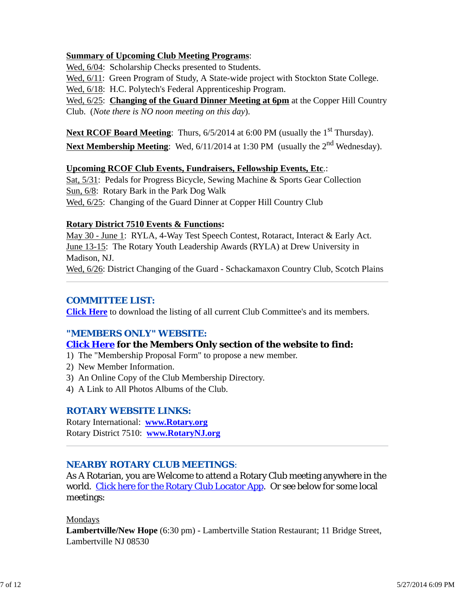#### **Summary of Upcoming Club Meeting Programs**:

Wed,  $6/04$ : Scholarship Checks presented to Students.

Wed,  $6/11$ : Green Program of Study, A State-wide project with Stockton State College.

Wed, 6/18: H.C. Polytech's Federal Apprenticeship Program.

Wed, 6/25: **Changing of the Guard Dinner Meeting at 6pm** at the Copper Hill Country Club. (*Note there is NO noon meeting on this day*).

Next RCOF Board Meeting: Thurs, 6/5/2014 at 6:00 PM (usually the 1<sup>st</sup> Thursday). Next Membership Meeting: Wed, 6/11/2014 at 1:30 PM (usually the 2<sup>nd</sup> Wednesday).

#### **Upcoming RCOF Club Events, Fundraisers, Fellowship Events, Etc**.:

Sat, 5/31: Pedals for Progress Bicycle, Sewing Machine & Sports Gear Collection Sun, 6/8: Rotary Bark in the Park Dog Walk Wed, 6/25: Changing of the Guard Dinner at Copper Hill Country Club

#### **Rotary District 7510 Events & Functions:**

May 30 - June 1: RYLA, 4-Way Test Speech Contest, Rotaract, Interact & Early Act. June 13-15: The Rotary Youth Leadership Awards (RYLA) at Drew University in Madison, NJ.

Wed, 6/26: District Changing of the Guard - Schackamaxon Country Club, Scotch Plains

### *COMMITTEE LIST:*

**Click Here** to download the listing of all current Club Committee's and its members.

#### *"MEMBERS ONLY" WEBSITE:*

#### **Click Here for the Members Only section of the website to find:**

- 1) The "Membership Proposal Form" to propose a new member.
- 2) New Member Information.
- 3) An Online Copy of the Club Membership Directory.
- 4) A Link to All Photos Albums of the Club.

#### *ROTARY WEBSITE LINKS:*

Rotary International: **www.Rotary.org** Rotary District 7510: **www.RotaryNJ.org**

### *NEARBY ROTARY CLUB MEETINGS:*

As A Rotarian, you are Welcome to attend a Rotary Club meeting anywhere in the world. Click here for the Rotary Club Locator App. Or see below for some local meetings:

#### Mondays

**Lambertville/New Hope** (6:30 pm) - Lambertville Station Restaurant; 11 Bridge Street, Lambertville NJ 08530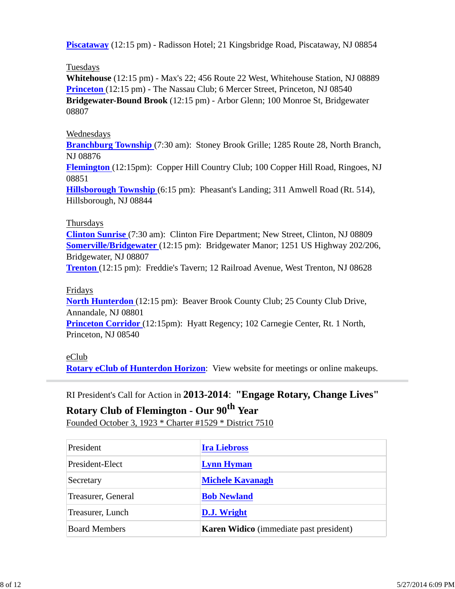**Piscataway** (12:15 pm) - Radisson Hotel; 21 Kingsbridge Road, Piscataway, NJ 08854

#### Tuesdays

**Whitehouse** (12:15 pm) - Max's 22; 456 Route 22 West, Whitehouse Station, NJ 08889 **Princeton** (12:15 pm) - The Nassau Club; 6 Mercer Street, Princeton, NJ 08540 **Bridgewater-Bound Brook** (12:15 pm) - Arbor Glenn; 100 Monroe St, Bridgewater 08807

#### Wednesdays

**Branchburg Township** (7:30 am): Stoney Brook Grille; 1285 Route 28, North Branch, NJ 08876

**Flemington** (12:15pm): Copper Hill Country Club; 100 Copper Hill Road, Ringoes, NJ 08851

**Hillsborough Township** (6:15 pm): Pheasant's Landing; 311 Amwell Road (Rt. 514), Hillsborough, NJ 08844

### Thursdays

**Clinton Sunrise** (7:30 am): Clinton Fire Department; New Street, Clinton, NJ 08809 **Somerville/Bridgewater** (12:15 pm): Bridgewater Manor; 1251 US Highway 202/206, Bridgewater, NJ 08807

**Trenton** (12:15 pm): Freddie's Tavern; 12 Railroad Avenue, West Trenton, NJ 08628

### Fridays

**North Hunterdon** (12:15 pm): Beaver Brook County Club; 25 County Club Drive, Annandale, NJ 08801 **Princeton Corridor** (12:15pm): Hyatt Regency; 102 Carnegie Center, Rt. 1 North, Princeton, NJ 08540

#### eClub

**Rotary eClub of Hunterdon Horizon**: View website for meetings or online makeups.

RI President's Call for Action in **2013-2014**: **"Engage Rotary, Change Lives"**

# **Rotary Club of Flemington - Our 90th Year** Founded October 3, 1923 \* Charter #1529 \* District 7510

| President            | <b>Ira Liebross</b>                            |
|----------------------|------------------------------------------------|
| President-Elect      | <b>Lynn Hyman</b>                              |
| Secretary            | <b>Michele Kavanagh</b>                        |
| Treasurer, General   | <b>Bob Newland</b>                             |
| Treasurer, Lunch     | <b>D.J.</b> Wright                             |
| <b>Board Members</b> | <b>Karen Widico</b> (immediate past president) |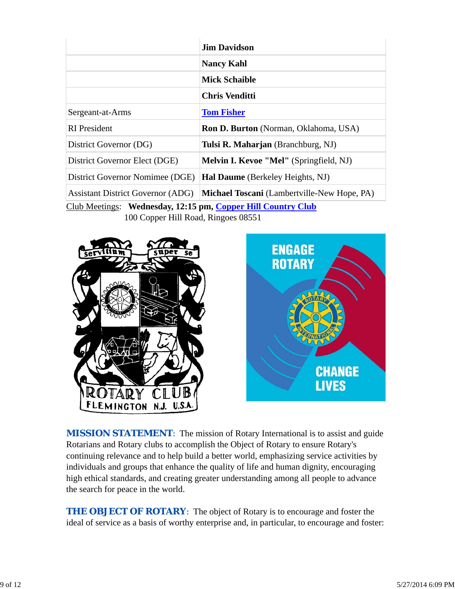|                                                              | <b>Jim Davidson</b>                                |  |  |  |
|--------------------------------------------------------------|----------------------------------------------------|--|--|--|
|                                                              | <b>Nancy Kahl</b>                                  |  |  |  |
|                                                              | <b>Mick Schaible</b>                               |  |  |  |
|                                                              | <b>Chris Venditti</b>                              |  |  |  |
| Sergeant-at-Arms                                             | <b>Tom Fisher</b>                                  |  |  |  |
| <b>RI</b> President                                          | <b>Ron D. Burton</b> (Norman, Oklahoma, USA)       |  |  |  |
| District Governor (DG)                                       | Tulsi R. Maharjan (Branchburg, NJ)                 |  |  |  |
| District Governor Elect (DGE)                                | <b>Melvin I. Kevoe "Mel"</b> (Springfield, NJ)     |  |  |  |
| District Governor Nomimee (DGE)                              | Hal Daume (Berkeley Heights, NJ)                   |  |  |  |
| <b>Assistant District Governor (ADG)</b>                     | <b>Michael Toscani</b> (Lambertville-New Hope, PA) |  |  |  |
| Club Meetings: Wednesday, 12:15 pm, Copper Hill Country Club |                                                    |  |  |  |

100 Copper Hill Road, Ringoes 08551





**MISSION STATEMENT:** The mission of Rotary International is to assist and guide Rotarians and Rotary clubs to accomplish the Object of Rotary to ensure Rotary's continuing relevance and to help build a better world, emphasizing service activities by individuals and groups that enhance the quality of life and human dignity, encouraging high ethical standards, and creating greater understanding among all people to advance the search for peace in the world.

**THE OBJECT OF ROTARY:** The object of Rotary is to encourage and foster the ideal of service as a basis of worthy enterprise and, in particular, to encourage and foster: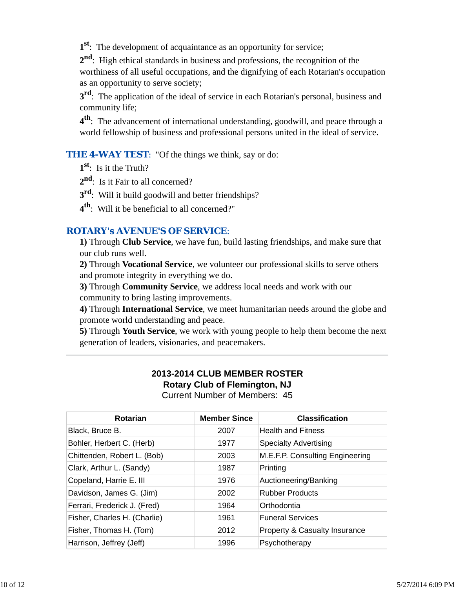**1st**: The development of acquaintance as an opportunity for service;

**2nd**: High ethical standards in business and professions, the recognition of the worthiness of all useful occupations, and the dignifying of each Rotarian's occupation as an opportunity to serve society;

**3rd**: The application of the ideal of service in each Rotarian's personal, business and community life;

**4th**: The advancement of international understanding, goodwill, and peace through a world fellowship of business and professional persons united in the ideal of service.

**THE 4-WAY TEST:** "Of the things we think, say or do:

**1st**: Is it the Truth?

2<sup>nd</sup>: Is it Fair to all concerned?

**3rd**: Will it build goodwill and better friendships?

**4th**: Will it be beneficial to all concerned?"

### *ROTARY's AVENUE'S OF SERVICE*:

**1)** Through **Club Service**, we have fun, build lasting friendships, and make sure that our club runs well.

**2)** Through **Vocational Service**, we volunteer our professional skills to serve others and promote integrity in everything we do.

**3)** Through **Community Service**, we address local needs and work with our community to bring lasting improvements.

**4)** Through **International Service**, we meet humanitarian needs around the globe and promote world understanding and peace.

**5)** Through **Youth Service**, we work with young people to help them become the next generation of leaders, visionaries, and peacemakers.

#### **2013-2014 CLUB MEMBER ROSTER Rotary Club of Flemington, NJ** Current Number of Members: 45

| <b>Rotarian</b>              | <b>Member Since</b> | <b>Classification</b>           |
|------------------------------|---------------------|---------------------------------|
| Black, Bruce B.              | 2007                | <b>Health and Fitness</b>       |
| Bohler, Herbert C. (Herb)    | 1977                | <b>Specialty Advertising</b>    |
| Chittenden, Robert L. (Bob)  | 2003                | M.E.F.P. Consulting Engineering |
| Clark, Arthur L. (Sandy)     | 1987                | Printing                        |
| Copeland, Harrie E. III      | 1976                | Auctioneering/Banking           |
| Davidson, James G. (Jim)     | 2002                | <b>Rubber Products</b>          |
| Ferrari, Frederick J. (Fred) | 1964                | Orthodontia                     |
| Fisher, Charles H. (Charlie) | 1961                | <b>Funeral Services</b>         |
| Fisher, Thomas H. (Tom)      | 2012                | Property & Casualty Insurance   |
| Harrison, Jeffrey (Jeff)     | 1996                | Psychotherapy                   |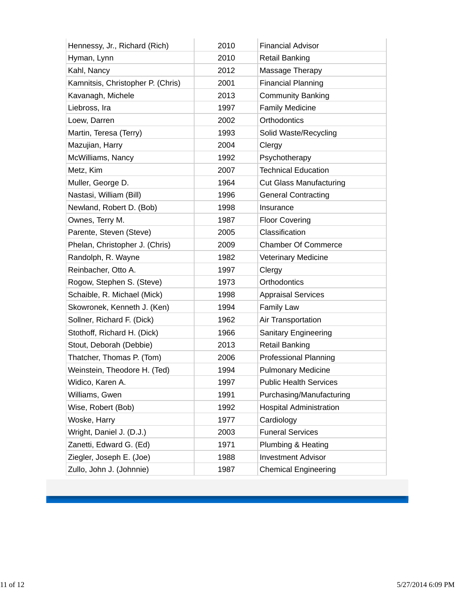| Hennessy, Jr., Richard (Rich)     | 2010 | <b>Financial Advisor</b>       |
|-----------------------------------|------|--------------------------------|
| Hyman, Lynn                       | 2010 | <b>Retail Banking</b>          |
| Kahl, Nancy                       | 2012 | Massage Therapy                |
| Kamnitsis, Christopher P. (Chris) | 2001 | <b>Financial Planning</b>      |
| Kavanagh, Michele                 | 2013 | <b>Community Banking</b>       |
| Liebross, Ira                     | 1997 | <b>Family Medicine</b>         |
| Loew, Darren                      | 2002 | Orthodontics                   |
| Martin, Teresa (Terry)            | 1993 | Solid Waste/Recycling          |
| Mazujian, Harry                   | 2004 | Clergy                         |
| McWilliams, Nancy                 | 1992 | Psychotherapy                  |
| Metz, Kim                         | 2007 | <b>Technical Education</b>     |
| Muller, George D.                 | 1964 | <b>Cut Glass Manufacturing</b> |
| Nastasi, William (Bill)           | 1996 | <b>General Contracting</b>     |
| Newland, Robert D. (Bob)          | 1998 | Insurance                      |
| Ownes, Terry M.                   | 1987 | <b>Floor Covering</b>          |
| Parente, Steven (Steve)           | 2005 | Classification                 |
| Phelan, Christopher J. (Chris)    | 2009 | <b>Chamber Of Commerce</b>     |
| Randolph, R. Wayne                | 1982 | <b>Veterinary Medicine</b>     |
| Reinbacher, Otto A.               | 1997 | Clergy                         |
| Rogow, Stephen S. (Steve)         | 1973 | Orthodontics                   |
| Schaible, R. Michael (Mick)       | 1998 | <b>Appraisal Services</b>      |
| Skowronek, Kenneth J. (Ken)       | 1994 | <b>Family Law</b>              |
| Sollner, Richard F. (Dick)        | 1962 | Air Transportation             |
| Stothoff, Richard H. (Dick)       | 1966 | <b>Sanitary Engineering</b>    |
| Stout, Deborah (Debbie)           | 2013 | <b>Retail Banking</b>          |
| Thatcher, Thomas P. (Tom)         | 2006 | <b>Professional Planning</b>   |
| Weinstein, Theodore H. (Ted)      | 1994 | <b>Pulmonary Medicine</b>      |
| Widico, Karen A.                  | 1997 | <b>Public Health Services</b>  |
| Williams, Gwen                    | 1991 | Purchasing/Manufacturing       |
| Wise, Robert (Bob)                | 1992 | <b>Hospital Administration</b> |
| Woske, Harry                      | 1977 | Cardiology                     |
| Wright, Daniel J. (D.J.)          | 2003 | <b>Funeral Services</b>        |
| Zanetti, Edward G. (Ed)           | 1971 | Plumbing & Heating             |
| Ziegler, Joseph E. (Joe)          | 1988 | <b>Investment Advisor</b>      |
| Zullo, John J. (Johnnie)          | 1987 | <b>Chemical Engineering</b>    |